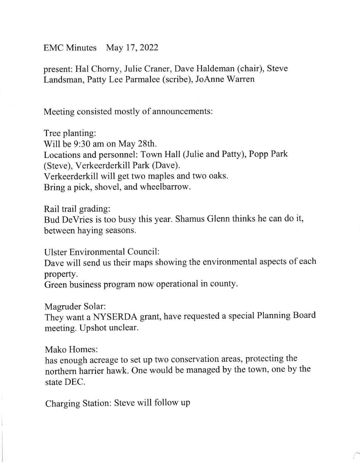## EMC Minutes May 17,2022

present: Hal Chorny, Julie Craner, Dave Haldeman (chair), Steve Landsman, Patty Lee Parmalee (scribe), JoAnne Warren

Meeting consisted mostly of announcements:

Tree planting: Will be 9:30 am on May 28th. Locations and personnel: Town Hall (Julie and Patty), Popp Park (Steve), Verkeerderkill Park (Dave). Verkeerderkill will get two maples and two oaks. Bring a pick, shovel, and wheelbarrow.

Rail trail grading:

Bud DeVries is too busy this year. Shamus Glenn thinks he can do it, between haying seasons.

Ulster Environmental Council:

Dave will send us their maps showing the environmental aspects of each property.

Green business program now operational in county.

Magruder Solar:

They want a NYSERDA grant, have requested a special Planning Board meeting. Upshot unclear.

Mako Homes:

has enough acreage to set up two conservation areas, protecting the northern harrier hawk. One would be managed by the town, one by the state DEC.

Charging Station: Steve will follow up